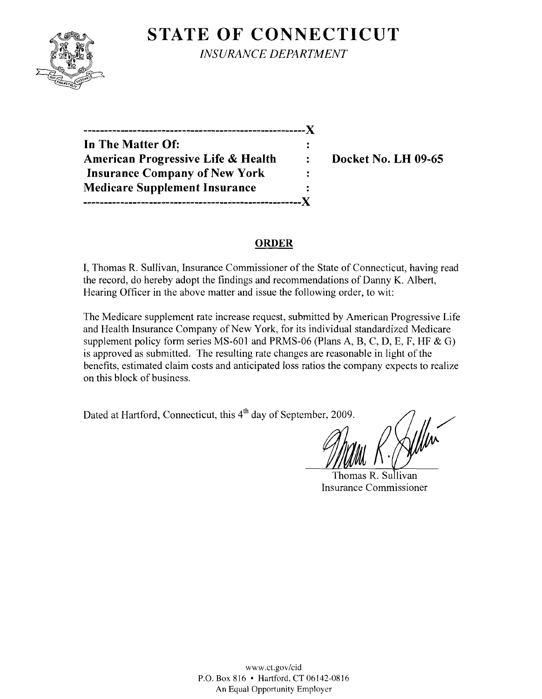# **STATE OF CONNECTICUT**



*INSURANCE DEPARTMENT* 

| In The Matter Of:                    |                      |
|--------------------------------------|----------------------|
| American Progressive Life & Health   | $\ddot{\phantom{a}}$ |
| <b>Insurance Company of New York</b> |                      |
| <b>Medicare Supplement Insurance</b> |                      |
|                                      |                      |

**Docket No. LH 09-65** 

#### **ORDER**

I, Thomas R. Sullivan, Insurance Commissioner of the State of Connecticut, having read the record, do hereby adopt the findings and recommendations of Danny K. Albert, Hearing Officer in the above matter and issue the following order, to wit:

The Medicare supplement rate increase request, submitted by American Progressive Life and Health Insurance Company of New York, for its individual standardized Medicare supplement policy form series MS-601 and PRMS-06 (Plans A, B, C, D, E, F, HF & G) is approved as submitted. The resulting rate changes are reasonable in light of the benefits, estimated claim costs and anticipated loss ratios the company expects to realize on this block of business.

Dated at Hartford, Connecticut, this 4<sup>th</sup> day of September, 2009.

Thomas R. Sullivan Insurance Commissioner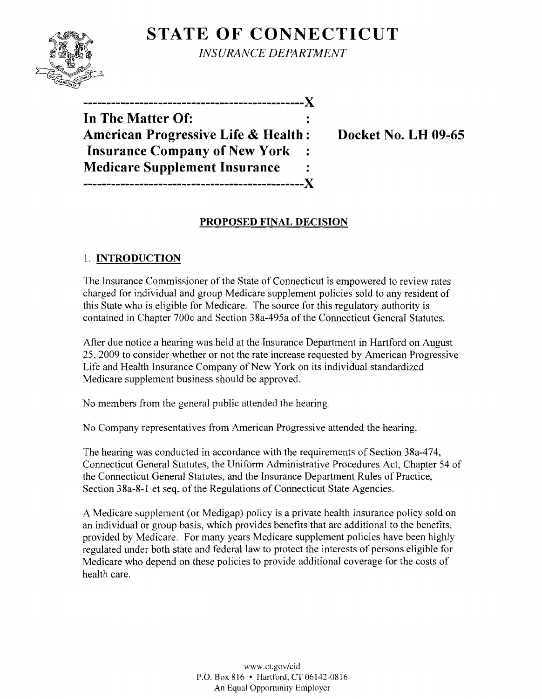# **STATE OF CONNECTICUT**



*INSURANCE DEPARTMENT* 

| In The Matter Of:                              |  |
|------------------------------------------------|--|
| <b>American Progressive Life &amp; Health:</b> |  |
| <b>Insurance Company of New York</b>           |  |
| <b>Medicare Supplement Insurance</b>           |  |
|                                                |  |

**Docket No. LH 09-65** 

### **PROPOSED FINAL DECISION**

## 1. **INTRODUCTION**

The Insurance Commissioner of the State of Connecticut is empowered to review rates charged for individual and group Medicare supplement policies sold to any resident of this State who is eligible for Medicare. The source for this regulatory authority is contained in Chapter 700c and Section 38a-495a of the Connecticut General Statutes.

After due notice a hearing was held at the Insurance Department in Hartford on August 25,2009 to consider whether or not the rate increase requested by American Progressive Life and Health Insurance Company of New York on its individual standardized Medicare supplement business should be approved.

No members from the general public attended the hearing.

No Company representatives from American Progressive attended the hearing.

The hearing was conducted in accordance with the requirements of Section 38a-474, Connecticut General Statutes, the Uniform Administrative Procedures Act, Chapter 54 of the Connecticut General Statutes, and the Insurance Department Rules of Practice, Section 38a-8-l et seq. of the Regulations of Connecticut State Agencies.

A Medicare supplement (or Medigap) policy is a private health insurance policy sold on an individual or group basis, which provides benefits that are additional to the benefits, provided by Medicare. For many years Medicare supplement policies have been highly regulated under both state and federal law to protect the interests of persons eligible for Medicare who depend on these policies to provide additional coverage for the costs of health care.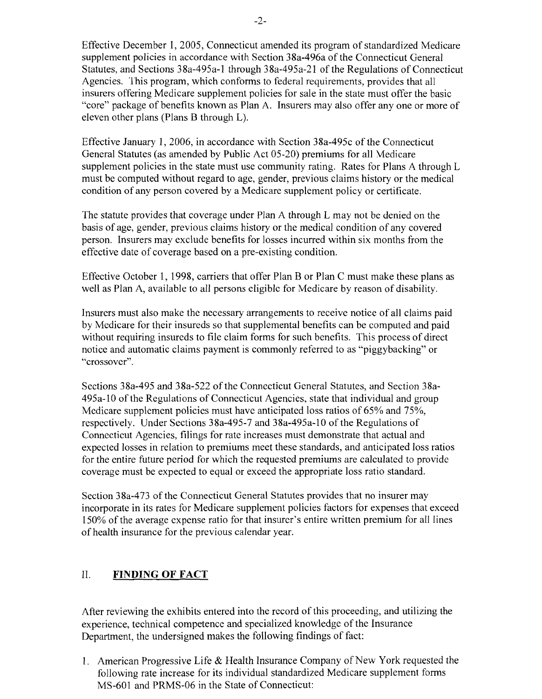Effective December I, 2005, Connecticut amended its program of standardized Medicare supplement policies in accordance with Section 38a-496a of the Connecticut General Statutes, and Sections 38a-495a-1 through 38a-495a-21 of the Regulations of Connecticut Agencies. This program, which conforms to federal requirements, provides that all insurers offering Medicare supplement policies for sale in the state must offer the basic "core" package of benefits known as Plan A. Insurers may also offer anyone or more of eleven other plans (Plans B through L).

Effective January I, 2006, in accordance with Section 38a-495c of the Connecticut General Statutes (as amended by Public Act 05-20) premiums for all Medicare supplement policies in the state must use community rating. Rates for Plans A through L must be computed without regard to age, gender, previous claims history or the medical condition of any person covered by a Medicare supplement policy or certificate.

The statute provides that coverage under Plan A through L may not be denied on the basis of age, gender, previous claims history or the medical condition of any covered person. Insurers may exclude benefits for losses incurred within six months from the effective date of coverage based on a pre-existing condition.

Effective October I, 1998, carriers that offer Plan B or Plan C must make these plans as well as Plan A, available to all persons eligible for Medicare by reason of disability.

Insurers must also make the necessary arrangements to receive notice of all claims paid by Medicare for their insureds so that supplemental benefits can be computed and paid without requiring insureds to file claim forms for such benefits. This process of direct notice and automatic claims payment is commonly referred to as "piggybacking" or "crossover".

Sections 38a-495 and 38a-522 ofthe Connecticut General Statutes, and Section 38a-495a-1O of the Regulations of Connecticut Agencies, state that individual and group Medicare supplement policies must have anticipated loss ratios of 65% and 75%. respectively. Under Sections 38a-495-7 and 38a-495a-IO of the Regulations of Connecticut Agencies, filings for rate increases must demonstrate that actual and expected losses in relation to premiums meet these standards, and anticipated loss ratios for the entire future period for which the requested premiums are calculated to provide coverage must be expected to equal or exceed the appropriate loss ratio standard.

Section 38a-473 of the Connecticut General Statutes provides that no insurer may incorporate in its rates for Medicare supplement policies factors for expenses that exceed 150% of the average expense ratio for that insurer's entire written premium for all lines of health insurance for the previous calendar year.

### II. **FINDING OF FACT**

After reviewing the exhibits entered into the record of this proceeding, and utilizing the experience, technical competence and specialized knowledge of the Insurance Department, the undersigned makes the following findings of fact:

1. American Progressive Life & Health Insurance Company of New York requested the following rate increase for its individual standardized Medicare supplement forms MS-601 and PRMS-06 in the State of Connecticut: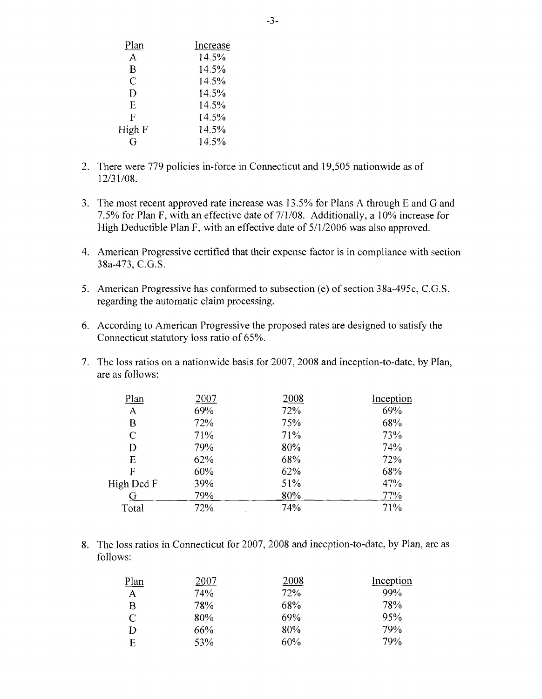| Increase |
|----------|
| 14.5%    |
| 14.5%    |
| 14.5%    |
| 14.5%    |
| 14.5%    |
| 14.5%    |
| 14.5%    |
| 14.5%    |
|          |

- 2. There were 779 policies in-force in Connecticut and 19,505 nationwide as of 12/31/08.
- 3. The most recent approved rate increase was 13.5% for Plans A through E and G and 7.5% for Plan F, with an effective date of  $7/1/08$ . Additionally, a  $10\%$  increase for High Deductible Plan F, with an effective date of  $5/1/2006$  was also approved.
- 4. American Progressive certified that their expense factor is in compliance with section 38a-473, C.G.S.
- 5. American Progressive has conformed to subsection (e) of section 38a-495c, C.G.S. regarding the automatic claim processing.
- 6. According to American Progressive the proposed rates are designed to satisfy the Connecticut statutory loss ratio of 65%.
- 7. The loss ratios on a nationwide basis for 2007, 2008 and inception-to-date, by Plan, are as follows:

| <u>Plan</u>  | 2007 | 2008 | Inception |
|--------------|------|------|-----------|
| $\mathbf{A}$ | 69%  | 72%  | 69%       |
| B            | 72%  | 75%  | 68%       |
| $\mathsf{C}$ | 71%  | 71%  | 73%       |
| D            | 79%  | 80%  | 74%       |
| E            | 62%  | 68%  | 72%       |
| F            | 60%  | 62%  | 68%       |
| High Ded F   | 39%  | 51%  | 47%       |
| G            | 79%  | 80%  | 77%       |
| Total        | 72%  | 74%  | 71%       |
|              |      |      |           |

8. The loss ratios in Connecticut for 2007, 2008 and inception-to-date, by Plan, are as follows:

| <u>Plan</u> | 2007 | 2008 | Inception |
|-------------|------|------|-----------|
| A           | 74%  | 72%  | 99%       |
| B           | 78%  | 68%  | 78%       |
| C           | 80%  | 69%  | 95%       |
| D           | 66%  | 80%  | 79%       |
| Ē           | 53%  | 60%  | 79%       |